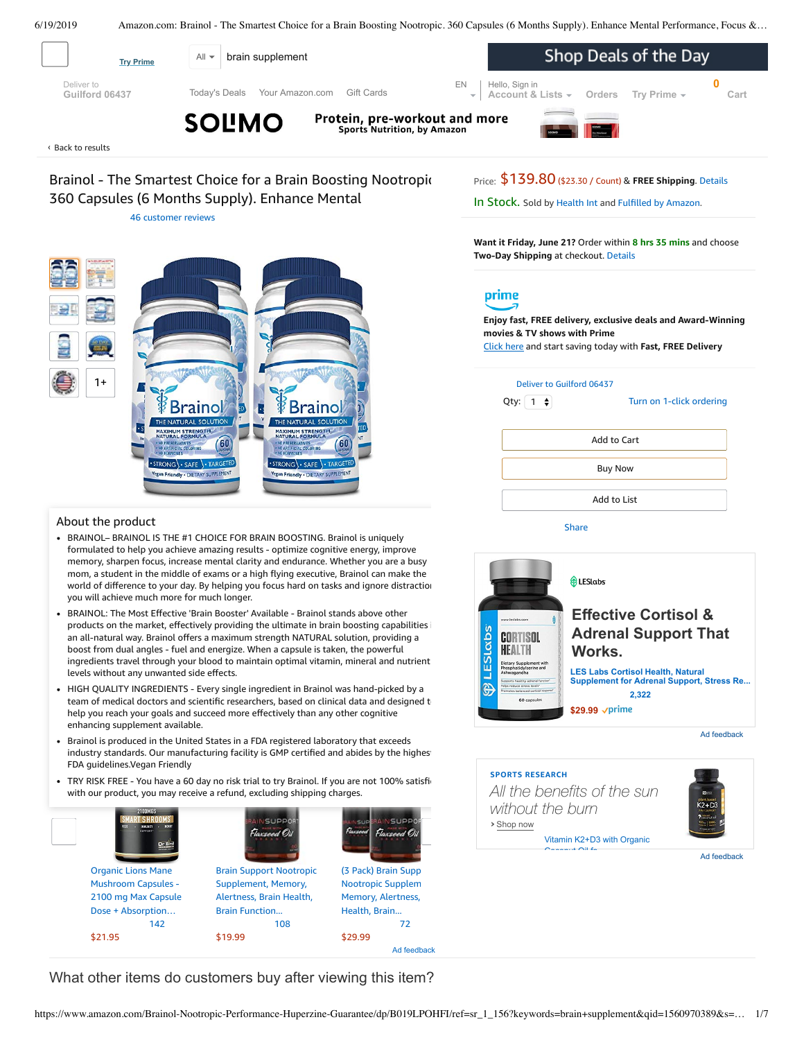<span id="page-0-0"></span>

# Brainol - The Smartest Choice for a Brain Boosting Nootropic. 360 Capsules (6 Months Supply). Enhance Mental

46 [customer](#page-3-0) reviews

Price: \$139.80 (\$23.30 / Count) & **FREE Shipping**. [Details](https://www.amazon.com/gp/help/customer/display.html?ie=UTF8&pop-up=1&nodeId=527692)

In Stock. Sold by [Health](https://www.amazon.com/gp/help/seller/at-a-glance.html/ref=dp_merchant_link?ie=UTF8&seller=A1OD6HNQODBO3Y&isAmazonFulfilled=1) Int and [Fulfilled](https://www.amazon.com/gp/help/customer/display.html?ie=UTF8&ref=dp_fulfillment&nodeId=106096011) by Amazon.

**Want it Friday, June 21?** Order within **8 hrs 35 mins** and choose **Two-Day Shipping** at checkout. [Details](https://www.amazon.com/gp/help/customer/display.html/ref=ftinfo_dp_?ie=UTF8&nodeId=3510241&pop-up=1)

# prime

**Enjoy fast, FREE delivery, exclusive deals and Award-Winning movies & TV shows with Prime** Click here and start saving today with **Fast, FREE Delivery**



Qty:  $\begin{bmatrix} 1 \\ 2 \end{bmatrix}$ 

Turn on 1-click [ordering](https://www.amazon.com/gp/product/utility/edit-one-click-pref.html/ref=dp_oc_signin?ie=UTF8&query=&returnPath=%2Fgp%2Fproduct%2FB019LPOHFI)



[Share](mailto:?body=I%20want%20to%20recommend%20this%20product%20at%20Amazon.com%0A%0ABrainol%20-%20The%20Smartest%20Choice%20for%20a%20Brain%20Boosting%20Nootropic.%20360%20Capsules%20(6%20Months%20Supply).%20Enhance%20Mental%20Performance%2C%20Focus%20%26%20Clarity%20-%20With%20DMAE%2C%20Huperzine%20A%20%26%20More.%20100%25%20Money%20Back%20Guarantee%0Aby%20Health%20Int%0ALearn%20more%3A%20https%3A%2F%2Fwww.amazon.com%2Fdp%2FB019LPOHFI%2Fref%3Dcm_sw_em_r_mt_dp_U_sUOcDbVTPEZCC&subject=I%20want%20to%20recommend%20this%20product%20on%20Amazon)



Ad feedback





Ad feedback



### About the product

- BRAINOL– BRAINOL IS THE #1 CHOICE FOR BRAIN BOOSTING. Brainol is uniquely formulated to help you achieve amazing results - optimize cognitive energy, improve memory, sharpen focus, increase mental clarity and endurance. Whether you are a busy mom, a student in the middle of exams or a high flying executive, Brainol can make the world of difference to your day. By helping you focus hard on tasks and ignore distraction you will achieve much more for much longer.
- BRAINOL: The Most Effective 'Brain Booster' Available Brainol stands above other products on the market, effectively providing the ultimate in brain boosting capabilities i an all-natural way. Brainol offers a maximum strength NATURAL solution, providing a boost from dual angles - fuel and energize. When a capsule is taken, the powerful [ingredients](https://www.amazon.com/gp/redirect.html/ref=amb_link_1?_encoding=UTF8&location=https%3A%2F%2Fwww.amazon.com%2Fstores%2Fpage%2F5C6C0A16-CE60-4998-B799-A746AE18E19B%3Fchannel%3Dproduct_alert_v1&source=standards&token=725A568E064D46CFD215073B2EAF8C86121FB501&pf_rd_m=ATVPDKIKX0DER&pf_rd_s=product-alert&pf_rd_r=VTT9P8EWZEC8CXS0S9AJ&pf_rd_r=VTT9P8EWZEC8CXS0S9AJ&pf_rd_t=201&pf_rd_p=5ccb7e8b-1cdb-4056-8a8c-bdea3462f1a9&pf_rd_p=5ccb7e8b-1cdb-4056-8a8c-bdea3462f1a9&pf_rd_i=B019LPOHFI) travel through your blood to maintain optimal vitamin, mineral and nutrient levels without any unwanted side effects.
- enhancing supplement available. HIGH QUALITY INGREDIENTS - Every single ingredient in Brainol was hand-picked by a team of medical doctors and scientific researchers, based on clinical data and designed to help you reach your goals and succeed more effectively than any other cognitive
- Brainol is produced in the United States in a FDA registered laboratory that exceeds industry standards. Our manufacturing facility is GMP certified and abides by the highest FDA [guidelines.Vegan](https://www.amazon.com/gp/slredirect/picassoRedirect.html/ref=sspa_dk_detail_0?ie=UTF8&adId=A0385292K9V6U8UXS7RH&qualifier=1560972178&id=4099533213915934&widgetName=sp_detail&url=%2Fdp%2FB07Q5DZJTK%2Fref%3Dsspa_dk_detail_0%3Fpsc%3D1%26pd_rd_i%3DB07Q5DZJTK%26pd_rd_w%3DvFn4R%26pf_rd_p%3D8a8f3917-7900-4ce8-ad90-adf0d53c0985%26pd_rd_wg%3DsgOtd%26pf_rd_r%3DVTT9P8EWZEC8CXS0S9AJ%26pd_rd_r%3Da5849f19-92c7-11e9-abb5-d1b44b8297c8%26smid%3DA1TK860KZRN8XL) Friendly
- TRY RISK FREE You have a 60 day no risk trial to try Brainol. If you are not 100% satisfie with our product, you may receive a refund, excluding shipping charges.



What other items do customers buy after viewing this item?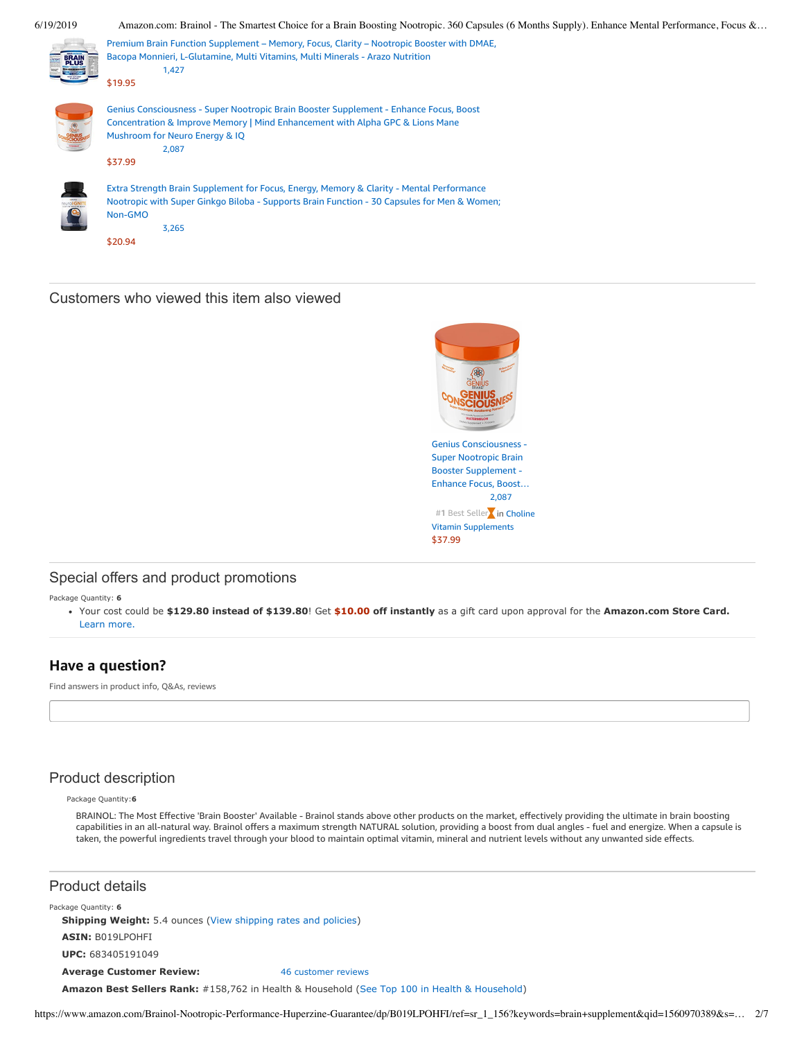

## Customers who viewed this item also viewed



## Special offers and product promotions

Package Quantity: **6**

Your cost could be **\$129.80 instead of \$139.80**! Get **\$10.00 off instantly** [as a gift card upon approval for the](https://www.amazon.com/gp/cobrandcard/marketing.html?pr=conplcc&inc=plccgatefomgc&ts=dhv55tvsxk3skku5od34ceclhm5pwk4&dasin=B019LPOHFI&plattr=PL10&place=detailpage&imp=0b378073-12e2-4212-bbd1-34fd94824e00) **Amazon.com Store Card.** Learn more.

## **Have a question?**

Find answers in product info, Q&As, reviews

## Product description

Package Quantity:**6**

BRAINOL: The Most Effective 'Brain Booster' Available - Brainol stands above other products on the market, effectively providing the ultimate in brain boosting capabilities in an all-natural way. Brainol offers a maximum strength NATURAL solution, providing a boost from dual angles - fuel and energize. When a capsule is taken, the powerful ingredients travel through your blood to maintain optimal vitamin, mineral and nutrient levels without any unwanted side effects.

## Product details

Package Quantity: **6 Shipping Weight:** 5.4 ounces [\(View shipping rates and policies\)](https://www.amazon.com/gp/help/seller/shipping.html/ref=dp_pd_shipping?ie=UTF8&asin=B019LPOHFI&seller=ATVPDKIKX0DER) **ASIN:** B019LPOHFI **UPC:** 683405191049 **Average Customer Review:** [46 customer reviews](https://www.amazon.com/product-reviews/B019LPOHFI/ref=acr_dpproductdetail_text?ie=UTF8&showViewpoints=1) **Amazon Best Sellers Rank:** #158,762 in Health & Household [\(See Top 100 in Health & Household](https://www.amazon.com/gp/bestsellers/hpc/ref=pd_zg_ts_hpc))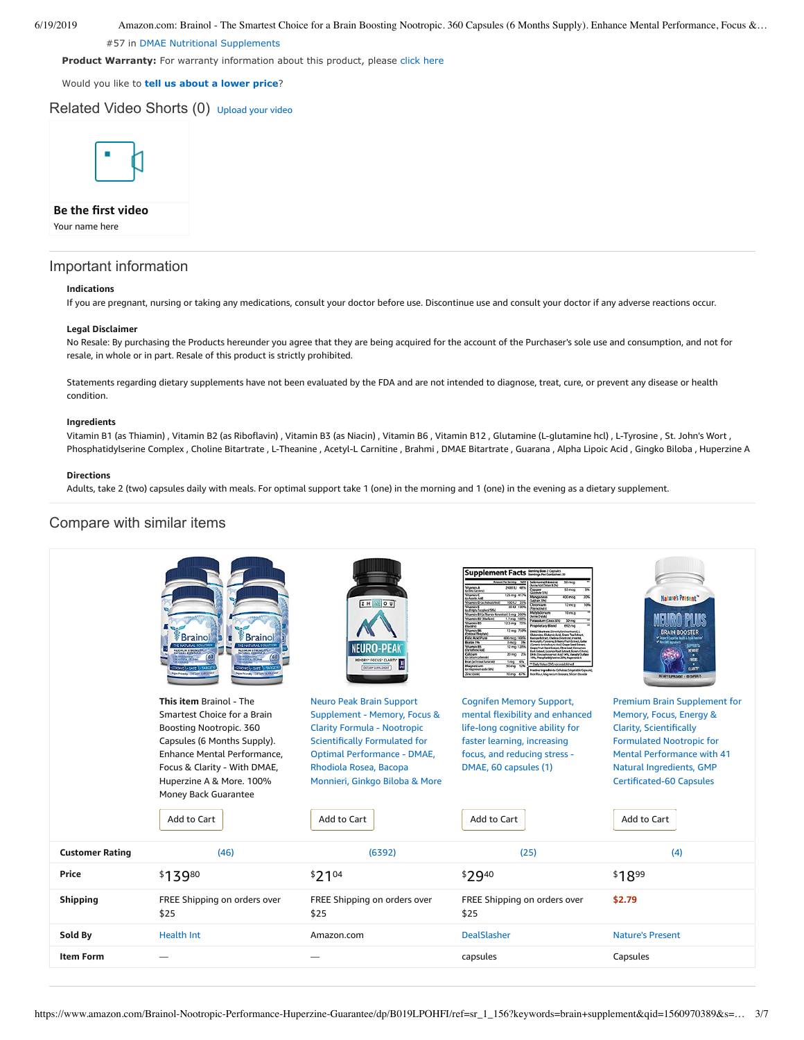#57 in [DMAE Nutritional Supplements](https://www.amazon.com/gp/bestsellers/hpc/3773461/ref=pd_zg_hrsr_hpc)

Product Warranty: For warranty information about this product, please [click here](https://www.amazon.com/gp/feature.html/ref=dp_warranty_request_3P?ie=UTF8&docId=1002406021)

#### Would you like to **tell us about a lower price**?

## Related Video Shorts (0) [Upload](https://www.amazon.com/creatorhub/video/upload?productASIN=B019LPOHFI&referringURL=ZHAvQjAxOUxQT0hGSQ%3D%3D&ref=RVSW) your video



**Be the first video**

Your name here

## Important information

#### **Indications**

If you are pregnant, nursing or taking any medications, consult your doctor before use. Discontinue use and consult your doctor if any adverse reactions occur.

#### **Legal Disclaimer**

No Resale: By purchasing the Products hereunder you agree that they are being acquired for the account of the Purchaser's sole use and consumption, and not for resale, in whole or in part. Resale of this product is strictly prohibited.

Statements regarding dietary supplements have not been evaluated by the FDA and are not intended to diagnose, treat, cure, or prevent any disease or health condition.

#### **Ingredients**

Vitamin B1 (as Thiamin) , Vitamin B2 (as Riboflavin) , Vitamin B3 (as Niacin) , Vitamin B6 , Vitamin B12 , Glutamine (L-glutamine hcl) , L-Tyrosine , St. John's Wort , Phosphatidylserine Complex , Choline Bitartrate , L-Theanine , Acetyl-L Carnitine , Brahmi , DMAE Bitartrate , Guarana , Alpha Lipoic Acid , Gingko Biloba , Huperzine A

### **Directions**

Adults, take 2 (two) capsules daily with meals. For optimal support take 1 (one) in the morning and 1 (one) in the evening as a dietary supplement.

## Compare with similar items

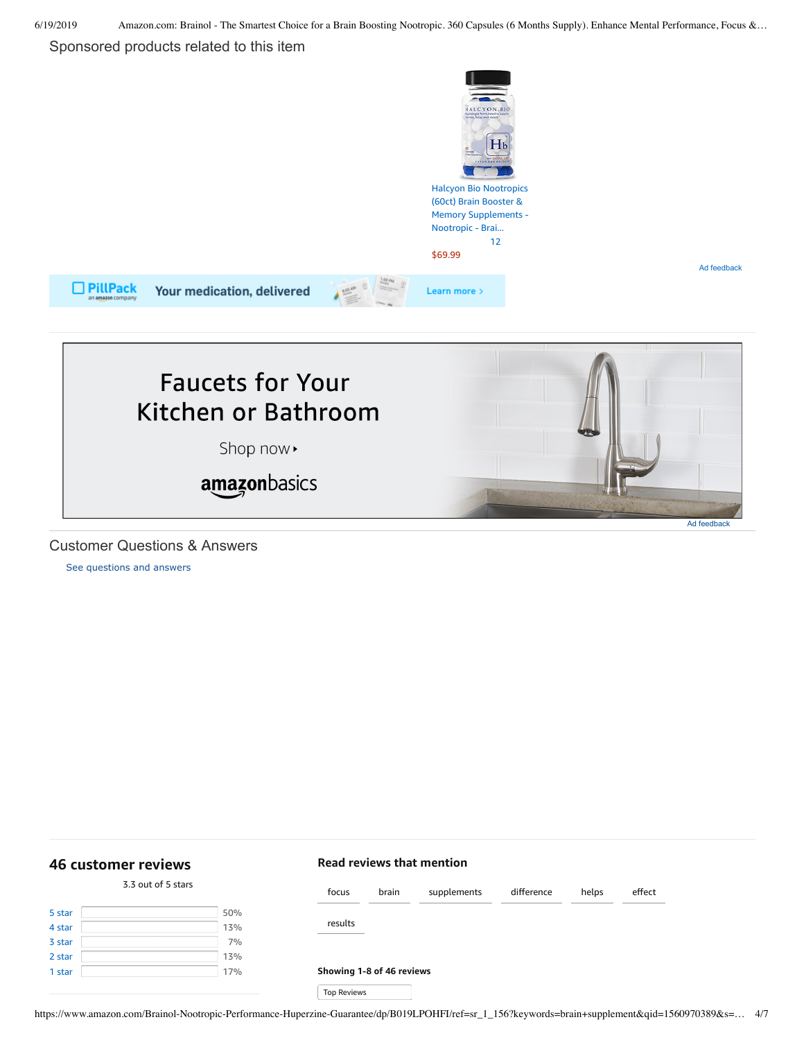Ad feedback

## Sponsored products related to this item





Customer Questions & Answers

[See questions and answers](https://www.amazon.com/ask/questions/asin/B019LPOHFI/ref=cm_cd_dp_lla_ql_ll)

<span id="page-3-0"></span>**[46 customer](https://www.amazon.com/Brainol-Nootropic-Performance-Huperzine-Guarantee/product-reviews/B019LPOHFI/ref=cm_cr_dp_d_show_all_top?ie=UTF8&reviewerType=all_reviews) reviews**

## **Read reviews that mention**

|        | 3.3 out of 5 stars |     | focus                     | brain | supplements | difference | helps | effect |
|--------|--------------------|-----|---------------------------|-------|-------------|------------|-------|--------|
| 5 star |                    | 50% |                           |       |             |            |       |        |
| 4 star |                    | 13% | results                   |       |             |            |       |        |
| 3 star |                    | 7%  |                           |       |             |            |       |        |
| 2 star |                    | 13% |                           |       |             |            |       |        |
| 1 star |                    | 17% | Showing 1-8 of 46 reviews |       |             |            |       |        |
|        |                    |     | <b>Top Reviews</b>        |       |             |            |       |        |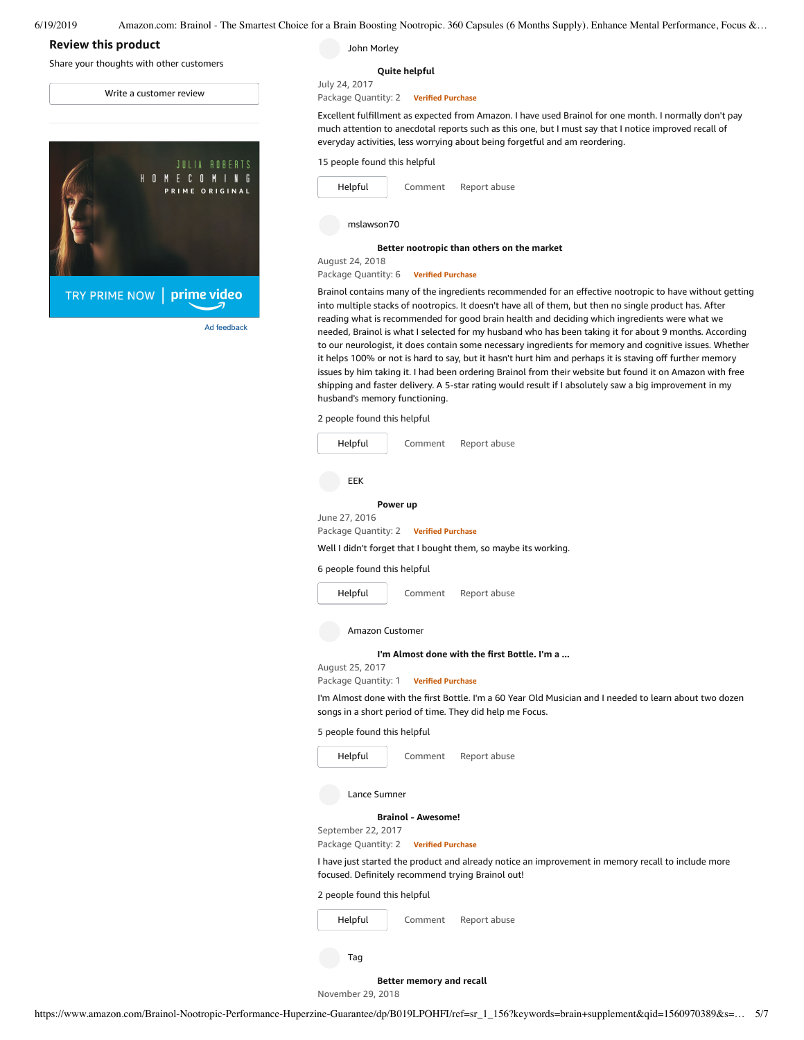## **Review this product**

Share your thoughts with other customers

Write a [customer](https://www.amazon.com/review/create-review/ref=cm_cr_dp_d_wr_but_top?ie=UTF8&channel=glance-detail&asin=B019LPOHFI) review



Ad feedback

John Morley

#### **Quite [helpful](https://www.amazon.com/gp/customer-reviews/R33YJ450GH1RFY/ref=cm_cr_dp_d_rvw_ttl?ie=UTF8&ASIN=B019LPOHFI)**

July 24, 2017 Package Quantity: 2 **Verified Purchase**

Excellent fulfillment as expected from Amazon. I have used Brainol for one month. I normally don't pay much attention to anecdotal reports such as this one, but I must say that I notice improved recall of everyday activities, less worrying about being forgetful and am reordering.



**Better [nootropic](https://www.amazon.com/gp/customer-reviews/R2GORR51OSI5L7/ref=cm_cr_dp_d_rvw_ttl?ie=UTF8&ASIN=B019LPOHFI) than others on the market**

August 24, 2018 Package Quantity: 6 **Verified Purchase**

Brainol contains many of the ingredients recommended for an effective nootropic to have without getting into multiple stacks of nootropics. It doesn't have all of them, but then no single product has. After reading what is recommended for good brain health and deciding which ingredients were what we needed, Brainol is what I selected for my husband who has been taking it for about 9 months. According to our neurologist, it does contain some necessary ingredients for memory and cognitive issues. Whether it helps 100% or not is hard to say, but it hasn't hurt him and perhaps it is staving off further memory issues by him taking it. I had been ordering Brainol from their website but found it on Amazon with free shipping and faster delivery. A 5-star rating would result if I absolutely saw a big improvement in my husband's memory functioning.

2 people found this helpful



| Helpful | Comment | Report abuse |  |  |
|---------|---------|--------------|--|--|
|         |         |              |  |  |

I have just started the product and already notice an improvement in memory recall to include more focused. Definitely recommend trying Brainol out!

2 people found this helpful

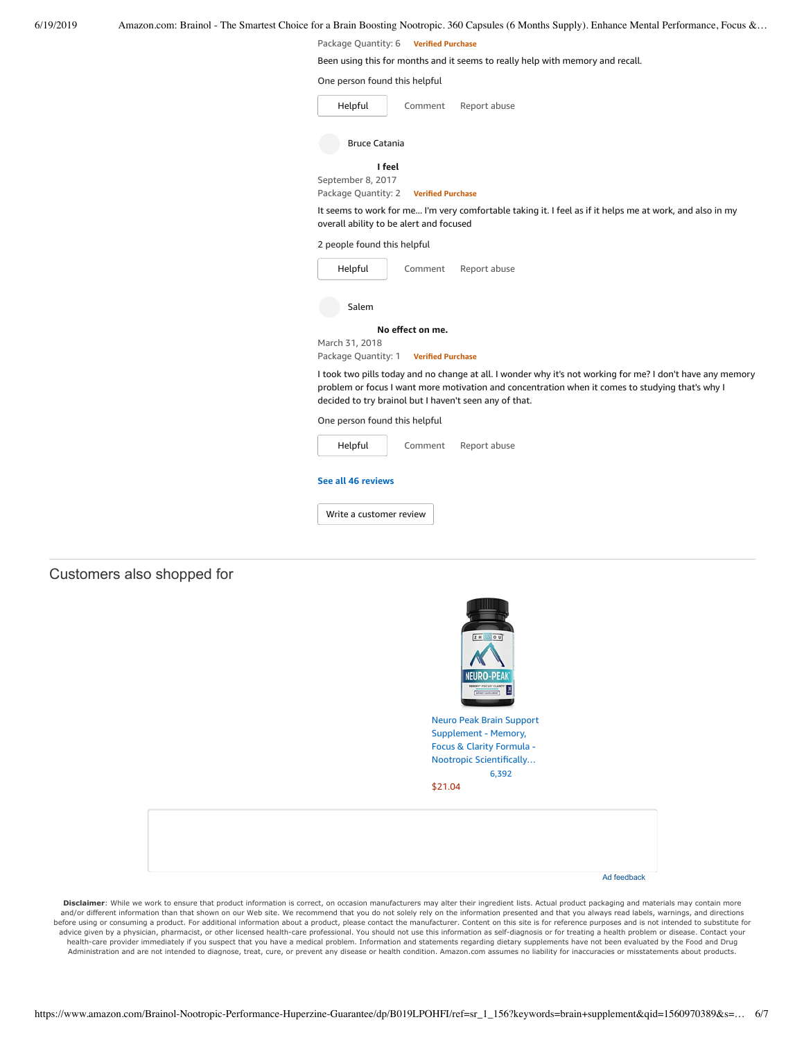Package Quantity: 6 **Verified Purchase**

Been using this for months and it seems to really help with memory and recall.

|  |  |  |  | One person found this helpful |  |
|--|--|--|--|-------------------------------|--|
|--|--|--|--|-------------------------------|--|

| Helpful              | Comment | Report abuse |  |  |
|----------------------|---------|--------------|--|--|
| <b>Bruce Catania</b> |         |              |  |  |
| I feel               |         |              |  |  |

September 8, 2017

Package Quantity: 2 **Verified Purchase**

It seems to work for me... I'm very comfortable taking it. I feel as if it helps me at work, and also in my overall ability to be alert and focused

2 people found this helpful

| Helpful                       | Comment                                         | Report abuse                                                                                                                                                                                                                                                             |  |  |  |  |
|-------------------------------|-------------------------------------------------|--------------------------------------------------------------------------------------------------------------------------------------------------------------------------------------------------------------------------------------------------------------------------|--|--|--|--|
| Salem                         |                                                 |                                                                                                                                                                                                                                                                          |  |  |  |  |
|                               | No effect on me.                                |                                                                                                                                                                                                                                                                          |  |  |  |  |
| March 31, 2018                |                                                 |                                                                                                                                                                                                                                                                          |  |  |  |  |
|                               | Package Quantity: 1<br><b>Verified Purchase</b> |                                                                                                                                                                                                                                                                          |  |  |  |  |
|                               |                                                 | I took two pills today and no change at all. I wonder why it's not working for me? I don't have any memory<br>problem or focus I want more motivation and concentration when it comes to studying that's why I<br>decided to try brainol but I haven't seen any of that. |  |  |  |  |
| One person found this helpful |                                                 |                                                                                                                                                                                                                                                                          |  |  |  |  |
| Helpful                       | Comment                                         | Report abuse                                                                                                                                                                                                                                                             |  |  |  |  |

#### **See all 46 [reviews](https://www.amazon.com/Brainol-Nootropic-Performance-Huperzine-Guarantee/product-reviews/B019LPOHFI/ref=cm_cr_dp_d_show_all_btm?ie=UTF8&reviewerType=all_reviews)**

Write a [customer](https://www.amazon.com/review/create-review/ref=cm_cr_dp_d_wr_but_btm?ie=UTF8&channel=glance-detail&asin=B019LPOHFI) review

# Customers also shopped for



Disclaimer: While we work to ensure that product information is correct, on occasion manufacturers may alter their ingredient lists. Actual product packaging and materials may contain more and/or different information than that shown on our Web site. We recommend that you do not solely rely on the information presented and that you always read labels, warnings, and directions before using or consuming a product. For additional information about a product, please contact the manufacturer. Content on this site is for reference purposes and is not intended to substitute for advice given by a physician, pharmacist, or other licensed health-care professional. You should not use this information as self-diagnosis or for treating a health problem or disease. Contact your health-care provider immediately if you suspect that you have a medical problem. Information and statements regarding dietary supplements have not been evaluated by the Food and Drug Administration and are not intended to diagnose, treat, cure, or prevent any disease or health condition. Amazon.com assumes no liability for inaccuracies or misstatements about products.